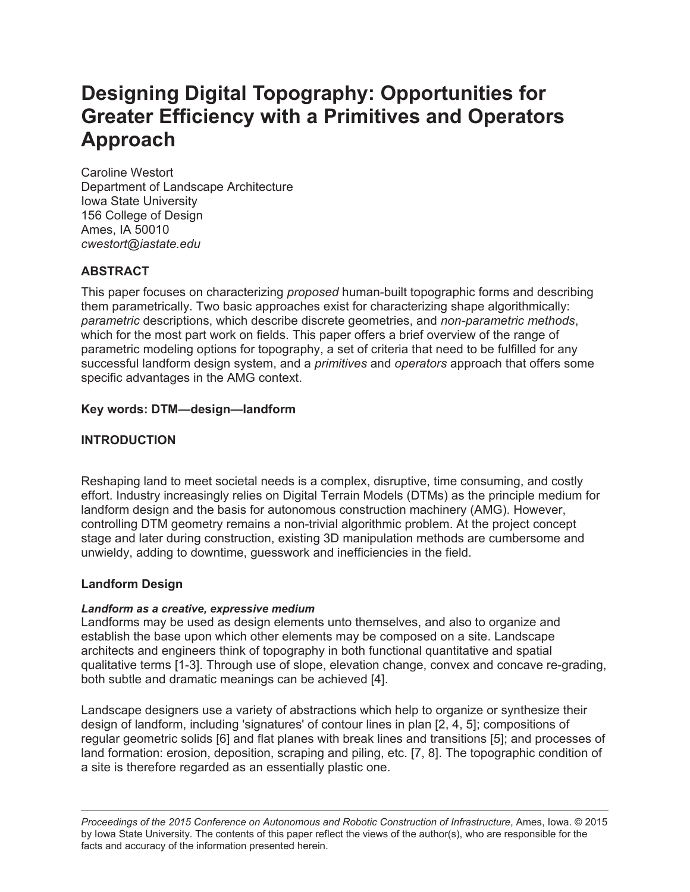# **Designing Digital Topography: Opportunities for Greater Efficiency with a Primitives and Operators Approach**

Caroline Westort Department of Landscape Architecture Iowa State University 156 College of Design Ames, IA 50010 *cwestort@iastate.edu*

# **ABSTRACT**

This paper focuses on characterizing *proposed* human-built topographic forms and describing them parametrically. Two basic approaches exist for characterizing shape algorithmically: *parametric* descriptions, which describe discrete geometries, and *non-parametric methods*, which for the most part work on fields. This paper offers a brief overview of the range of parametric modeling options for topography, a set of criteria that need to be fulfilled for any successful landform design system, and a *primitives* and *operators* approach that offers some specific advantages in the AMG context.

#### **Key words: DTM—design—landform**

## **INTRODUCTION**

Reshaping land to meet societal needs is a complex, disruptive, time consuming, and costly effort. Industry increasingly relies on Digital Terrain Models (DTMs) as the principle medium for landform design and the basis for autonomous construction machinery (AMG). However, controlling DTM geometry remains a non-trivial algorithmic problem. At the project concept stage and later during construction, existing 3D manipulation methods are cumbersome and unwieldy, adding to downtime, guesswork and inefficiencies in the field.

#### **Landform Design**

#### *Landform as a creative, expressive medium*

Landforms may be used as design elements unto themselves, and also to organize and establish the base upon which other elements may be composed on a site. Landscape architects and engineers think of topography in both functional quantitative and spatial qualitative terms [1-3]. Through use of slope, elevation change, convex and concave re-grading, both subtle and dramatic meanings can be achieved [4].

Landscape designers use a variety of abstractions which help to organize or synthesize their design of landform, including 'signatures' of contour lines in plan [2, 4, 5]; compositions of regular geometric solids [6] and flat planes with break lines and transitions [5]; and processes of land formation: erosion, deposition, scraping and piling, etc. [7, 8]. The topographic condition of a site is therefore regarded as an essentially plastic one.

*Proceedings of the 2015 Conference on Autonomous and Robotic Construction of Infrastructure*, Ames, Iowa. © 2015 by Iowa State University. The contents of this paper reflect the views of the author(s), who are responsible for the facts and accuracy of the information presented herein.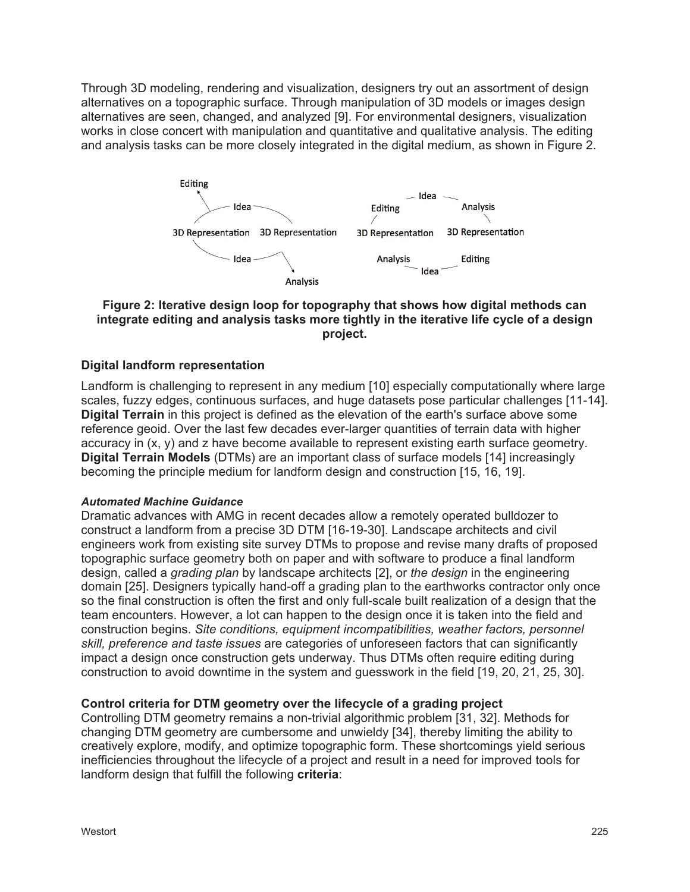Through 3D modeling, rendering and visualization, designers try out an assortment of design alternatives on a topographic surface. Through manipulation of 3D models or images design alternatives are seen, changed, and analyzed [9]. For environmental designers, visualization works in close concert with manipulation and quantitative and qualitative analysis. The editing and analysis tasks can be more closely integrated in the digital medium, as shown in Figure 2.



#### **Figure 2: Iterative design loop for topography that shows how digital methods can integrate editing and analysis tasks more tightly in the iterative life cycle of a design project.**

#### **Digital landform representation**

Landform is challenging to represent in any medium [10] especially computationally where large scales, fuzzy edges, continuous surfaces, and huge datasets pose particular challenges [11-14]. **Digital Terrain** in this project is defined as the elevation of the earth's surface above some reference geoid. Over the last few decades ever-larger quantities of terrain data with higher accuracy in (x, y) and z have become available to represent existing earth surface geometry. **Digital Terrain Models** (DTMs) are an important class of surface models [14] increasingly becoming the principle medium for landform design and construction [15, 16, 19].

#### *Automated Machine Guidance*

Dramatic advances with AMG in recent decades allow a remotely operated bulldozer to construct a landform from a precise 3D DTM [16-19-30]. Landscape architects and civil engineers work from existing site survey DTMs to propose and revise many drafts of proposed topographic surface geometry both on paper and with software to produce a final landform design, called a *grading plan* by landscape architects [2], or *the design* in the engineering domain [25]. Designers typically hand-off a grading plan to the earthworks contractor only once so the final construction is often the first and only full-scale built realization of a design that the team encounters. However, a lot can happen to the design once it is taken into the field and construction begins. *Site conditions, equipment incompatibilities, weather factors, personnel skill, preference and taste issues* are categories of unforeseen factors that can significantly impact a design once construction gets underway. Thus DTMs often require editing during construction to avoid downtime in the system and guesswork in the field [19, 20, 21, 25, 30].

#### **Control criteria for DTM geometry over the lifecycle of a grading project**

Controlling DTM geometry remains a non-trivial algorithmic problem [31, 32]. Methods for changing DTM geometry are cumbersome and unwieldy [34], thereby limiting the ability to creatively explore, modify, and optimize topographic form. These shortcomings yield serious inefficiencies throughout the lifecycle of a project and result in a need for improved tools for landform design that fulfill the following **criteria**: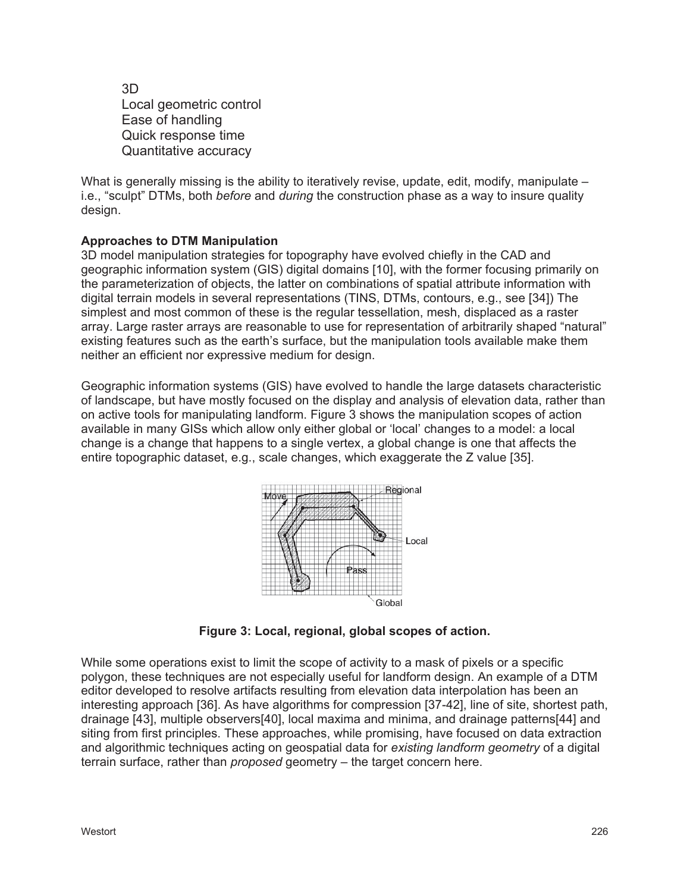3D Local geometric control Ease of handling Quick response time Quantitative accuracy

What is generally missing is the ability to iteratively revise, update, edit, modify, manipulate – i.e., "sculpt" DTMs, both *before* and *during* the construction phase as a way to insure quality design.

#### **Approaches to DTM Manipulation**

3D model manipulation strategies for topography have evolved chiefly in the CAD and geographic information system (GIS) digital domains [10], with the former focusing primarily on the parameterization of objects, the latter on combinations of spatial attribute information with digital terrain models in several representations (TINS, DTMs, contours, e.g., see [34]) The simplest and most common of these is the regular tessellation, mesh, displaced as a raster array. Large raster arrays are reasonable to use for representation of arbitrarily shaped "natural" existing features such as the earth's surface, but the manipulation tools available make them neither an efficient nor expressive medium for design.

Geographic information systems (GIS) have evolved to handle the large datasets characteristic of landscape, but have mostly focused on the display and analysis of elevation data, rather than on active tools for manipulating landform. Figure 3 shows the manipulation scopes of action available in many GISs which allow only either global or 'local' changes to a model: a local change is a change that happens to a single vertex, a global change is one that affects the entire topographic dataset, e.g., scale changes, which exaggerate the Z value [35].



**Figure 3: Local, regional, global scopes of action.**

While some operations exist to limit the scope of activity to a mask of pixels or a specific polygon, these techniques are not especially useful for landform design. An example of a DTM editor developed to resolve artifacts resulting from elevation data interpolation has been an interesting approach [36]. As have algorithms for compression [37-42], line of site, shortest path, drainage [43], multiple observers[40], local maxima and minima, and drainage patterns[44] and siting from first principles. These approaches, while promising, have focused on data extraction and algorithmic techniques acting on geospatial data for *existing landform geometry* of a digital terrain surface, rather than *proposed* geometry – the target concern here.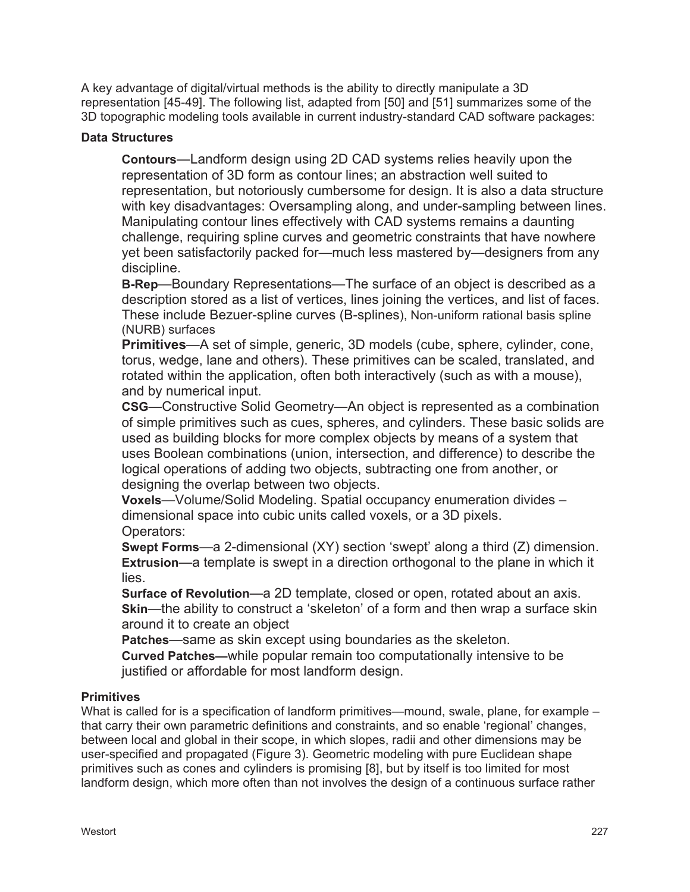A key advantage of digital/virtual methods is the ability to directly manipulate a 3D representation [45-49]. The following list, adapted from [50] and [51] summarizes some of the 3D topographic modeling tools available in current industry-standard CAD software packages:

#### **Data Structures**

**Contours**—Landform design using 2D CAD systems relies heavily upon the representation of 3D form as contour lines; an abstraction well suited to representation, but notoriously cumbersome for design. It is also a data structure with key disadvantages: Oversampling along, and under-sampling between lines. Manipulating contour lines effectively with CAD systems remains a daunting challenge, requiring spline curves and geometric constraints that have nowhere yet been satisfactorily packed for—much less mastered by—designers from any discipline.

**B-Rep**—Boundary Representations—The surface of an object is described as a description stored as a list of vertices, lines joining the vertices, and list of faces. These include Bezuer-spline curves (B-splines), Non-uniform rational basis spline (NURB) surfaces

**Primitives**—A set of simple, generic, 3D models (cube, sphere, cylinder, cone, torus, wedge, lane and others). These primitives can be scaled, translated, and rotated within the application, often both interactively (such as with a mouse), and by numerical input.

**CSG**—Constructive Solid Geometry—An object is represented as a combination of simple primitives such as cues, spheres, and cylinders. These basic solids are used as building blocks for more complex objects by means of a system that uses Boolean combinations (union, intersection, and difference) to describe the logical operations of adding two objects, subtracting one from another, or designing the overlap between two objects.

**Voxels**—Volume/Solid Modeling. Spatial occupancy enumeration divides – dimensional space into cubic units called voxels, or a 3D pixels. Operators:

**Swept Forms**—a 2-dimensional (XY) section 'swept' along a third (Z) dimension. **Extrusion**—a template is swept in a direction orthogonal to the plane in which it lies.

**Surface of Revolution**—a 2D template, closed or open, rotated about an axis. **Skin**—the ability to construct a 'skeleton' of a form and then wrap a surface skin around it to create an object

**Patches**—same as skin except using boundaries as the skeleton.

**Curved Patches—**while popular remain too computationally intensive to be justified or affordable for most landform design.

## **Primitives**

What is called for is a specification of landform primitives—mound, swale, plane, for example – that carry their own parametric definitions and constraints, and so enable 'regional' changes, between local and global in their scope, in which slopes, radii and other dimensions may be user-specified and propagated (Figure 3). Geometric modeling with pure Euclidean shape primitives such as cones and cylinders is promising [8], but by itself is too limited for most landform design, which more often than not involves the design of a continuous surface rather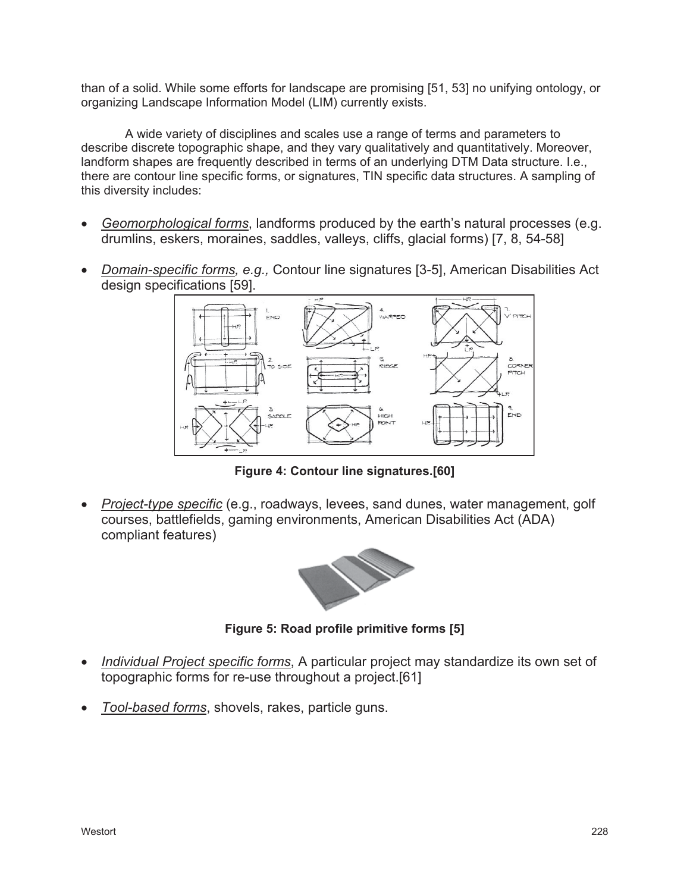than of a solid. While some efforts for landscape are promising [51, 53] no unifying ontology, or organizing Landscape Information Model (LIM) currently exists.

A wide variety of disciplines and scales use a range of terms and parameters to describe discrete topographic shape, and they vary qualitatively and quantitatively. Moreover, landform shapes are frequently described in terms of an underlying DTM Data structure. I.e., there are contour line specific forms, or signatures, TIN specific data structures. A sampling of this diversity includes:

- x *Geomorphological forms*, landforms produced by the earth's natural processes (e.g. drumlins, eskers, moraines, saddles, valleys, cliffs, glacial forms) [7, 8, 54-58]
- x *Domain-specific forms, e.g.,* Contour line signatures [3-5], American Disabilities Act design specifications [59].



**Figure 4: Contour line signatures.[60]**

*Project-type specific* (e.g., roadways, levees, sand dunes, water management, golf courses, battlefields, gaming environments, American Disabilities Act (ADA) compliant features)



**Figure 5: Road profile primitive forms [5]**

- *Individual Project specific forms*, A particular project may standardize its own set of topographic forms for re-use throughout a project.[61]
- x *Tool-based forms*, shovels, rakes, particle guns.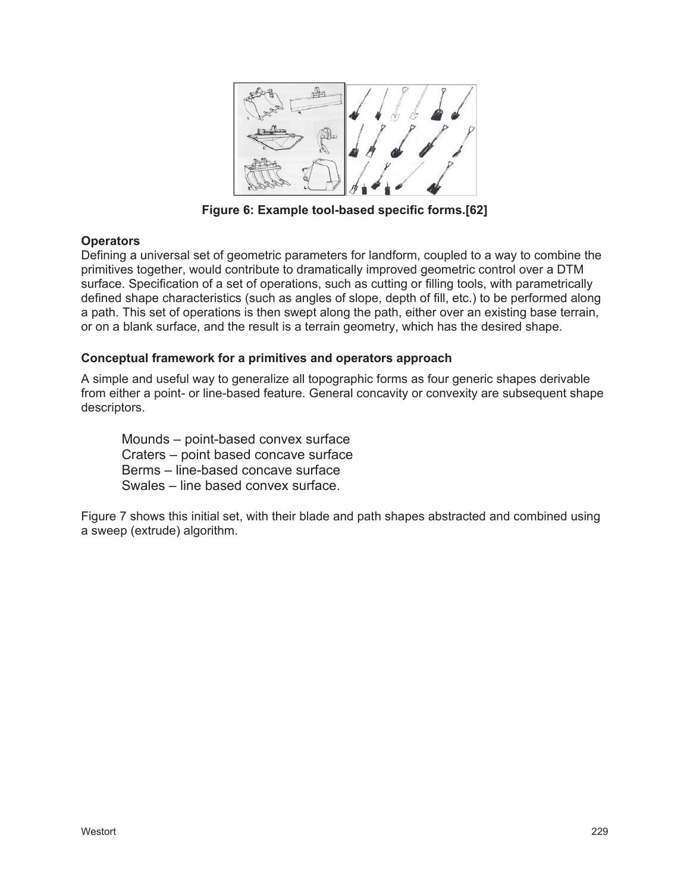

**Figure 6: Example tool-based specific forms.[62]**

#### **Operators**

Defining a universal set of geometric parameters for landform, coupled to a way to combine the primitives together, would contribute to dramatically improved geometric control over a DTM surface. Specification of a set of operations, such as cutting or filling tools, with parametrically defined shape characteristics (such as angles of slope, depth of fill, etc.) to be performed along a path. This set of operations is then swept along the path, either over an existing base terrain, or on a blank surface, and the result is a terrain geometry, which has the desired shape.

#### **Conceptual framework for a primitives and operators approach**

A simple and useful way to generalize all topographic forms as four generic shapes derivable from either a point- or line-based feature. General concavity or convexity are subsequent shape descriptors.

Mounds – point-based convex surface Craters – point based concave surface Berms – line-based concave surface Swales – line based convex surface.

Figure 7 shows this initial set, with their blade and path shapes abstracted and combined using a sweep (extrude) algorithm.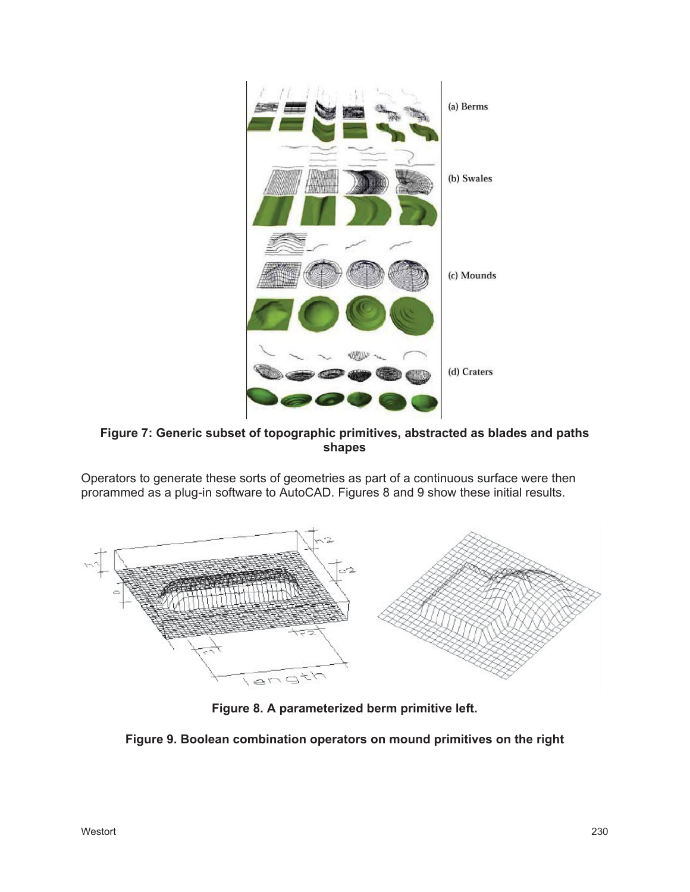

**Figure 7: Generic subset of topographic primitives, abstracted as blades and paths shapes**

Operators to generate these sorts of geometries as part of a continuous surface were then prorammed as a plug-in software to AutoCAD. Figures 8 and 9 show these initial results.



**Figure 8. A parameterized berm primitive left.**

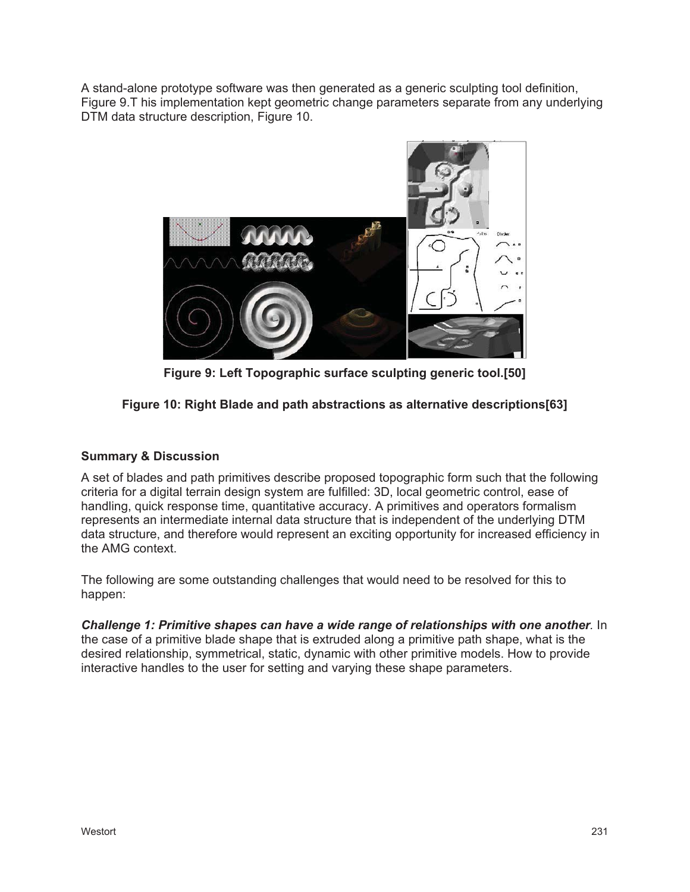A stand-alone prototype software was then generated as a generic sculpting tool definition, Figure 9.T his implementation kept geometric change parameters separate from any underlying DTM data structure description, Figure 10.



**Figure 9: Left Topographic surface sculpting generic tool.[50]**

# **Figure 10: Right Blade and path abstractions as alternative descriptions[63]**

## **Summary & Discussion**

A set of blades and path primitives describe proposed topographic form such that the following criteria for a digital terrain design system are fulfilled: 3D, local geometric control, ease of handling, quick response time, quantitative accuracy. A primitives and operators formalism represents an intermediate internal data structure that is independent of the underlying DTM data structure, and therefore would represent an exciting opportunity for increased efficiency in the AMG context.

The following are some outstanding challenges that would need to be resolved for this to happen:

*Challenge 1: Primitive shapes can have a wide range of relationships with one another.* In the case of a primitive blade shape that is extruded along a primitive path shape, what is the desired relationship, symmetrical, static, dynamic with other primitive models. How to provide interactive handles to the user for setting and varying these shape parameters.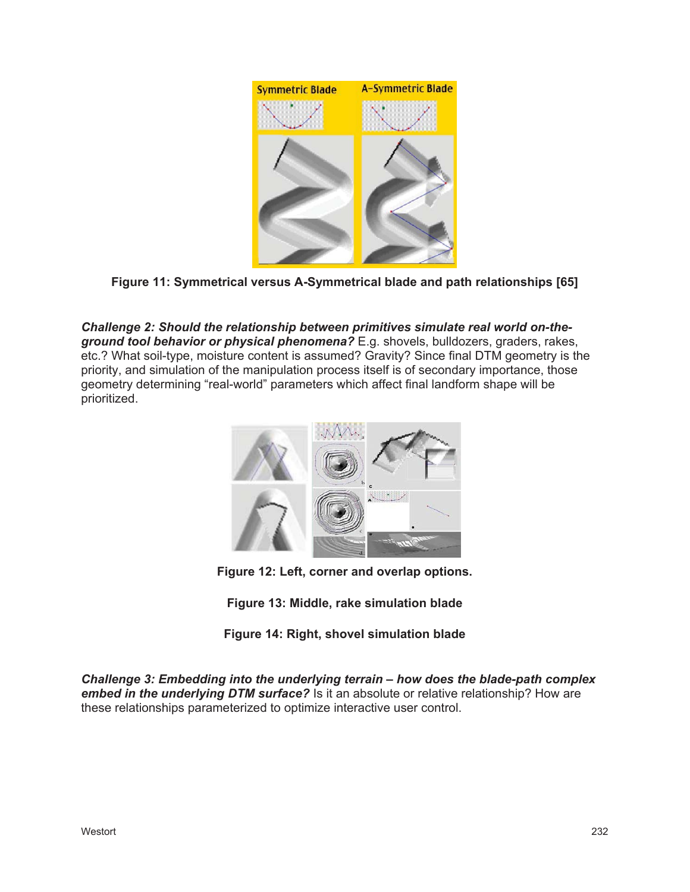

**Figure 11: Symmetrical versus A-Symmetrical blade and path relationships [65]**

*Challenge 2: Should the relationship between primitives simulate real world on-theground tool behavior or physical phenomena?* E.g. shovels, bulldozers, graders, rakes, etc.? What soil-type, moisture content is assumed? Gravity? Since final DTM geometry is the priority, and simulation of the manipulation process itself is of secondary importance, those geometry determining "real-world" parameters which affect final landform shape will be prioritized.



**Figure 12: Left, corner and overlap options.**

**Figure 13: Middle, rake simulation blade**

**Figure 14: Right, shovel simulation blade**

*Challenge 3: Embedding into the underlying terrain – how does the blade-path complex embed in the underlying DTM surface?* Is it an absolute or relative relationship? How are these relationships parameterized to optimize interactive user control.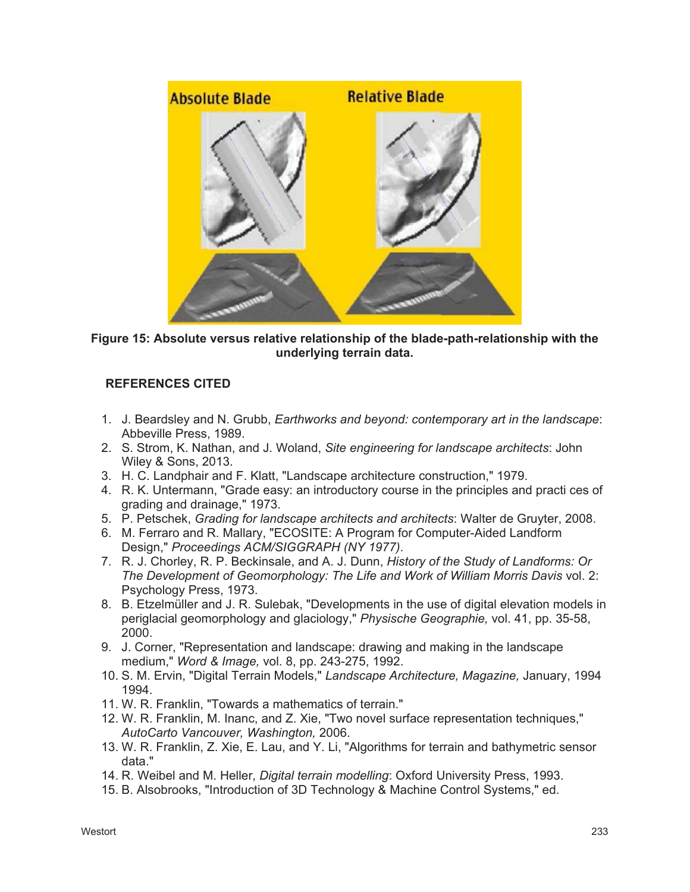

**Figure 15: Absolute versus relative relationship of the blade-path-relationship with the underlying terrain data.**

# **REFERENCES CITED**

- 1. J. Beardsley and N. Grubb, *Earthworks and beyond: contemporary art in the landscape*: Abbeville Press, 1989.
- 2. S. Strom, K. Nathan, and J. Woland, *Site engineering for landscape architects*: John Wiley & Sons, 2013.
- 3. H. C. Landphair and F. Klatt, "Landscape architecture construction," 1979.
- 4. R. K. Untermann, "Grade easy: an introductory course in the principles and practi ces of grading and drainage," 1973.
- 5. P. Petschek, *Grading for landscape architects and architects*: Walter de Gruyter, 2008.
- 6. M. Ferraro and R. Mallary, "ECOSITE: A Program for Computer-Aided Landform Design," *Proceedings ACM/SIGGRAPH (NY 1977)*.
- 7. R. J. Chorley, R. P. Beckinsale, and A. J. Dunn, *History of the Study of Landforms: Or The Development of Geomorphology: The Life and Work of William Morris Davis* vol. 2: Psychology Press, 1973.
- 8. B. Etzelmüller and J. R. Sulebak, "Developments in the use of digital elevation models in periglacial geomorphology and glaciology," *Physische Geographie,* vol. 41, pp. 35-58, 2000.
- 9. J. Corner, "Representation and landscape: drawing and making in the landscape medium," *Word & Image,* vol. 8, pp. 243-275, 1992.
- 10. S. M. Ervin, "Digital Terrain Models," *Landscape Architecture, Magazine,* January, 1994 1994.
- 11. W. R. Franklin, "Towards a mathematics of terrain."
- 12. W. R. Franklin, M. Inanc, and Z. Xie, "Two novel surface representation techniques," *AutoCarto Vancouver, Washington,* 2006.
- 13. W. R. Franklin, Z. Xie, E. Lau, and Y. Li, "Algorithms for terrain and bathymetric sensor data."
- 14. R. Weibel and M. Heller, *Digital terrain modelling*: Oxford University Press, 1993.
- 15. B. Alsobrooks, "Introduction of 3D Technology & Machine Control Systems," ed.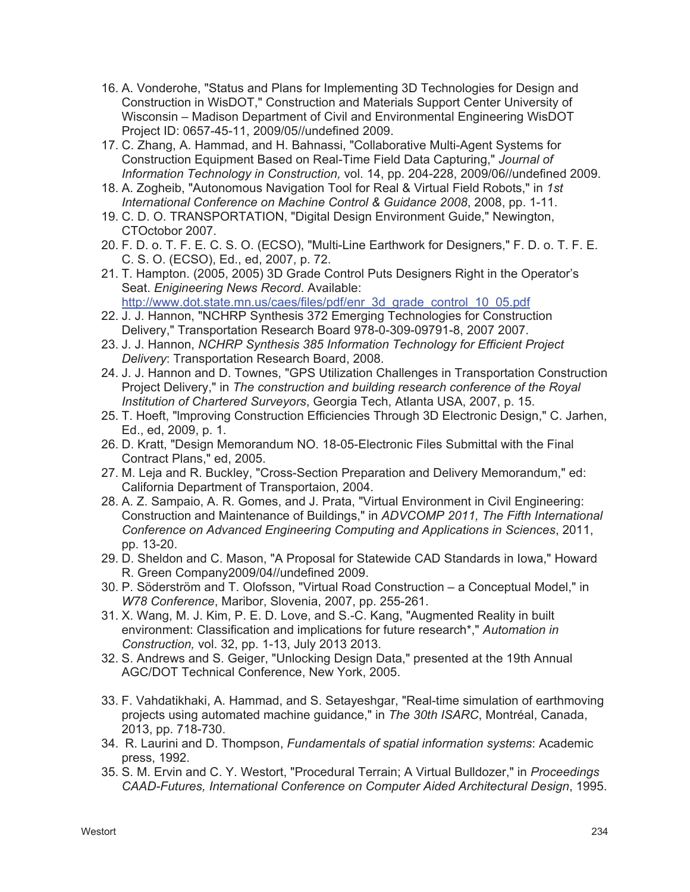- 16. A. Vonderohe, "Status and Plans for Implementing 3D Technologies for Design and Construction in WisDOT," Construction and Materials Support Center University of Wisconsin – Madison Department of Civil and Environmental Engineering WisDOT Project ID: 0657-45-11, 2009/05//undefined 2009.
- 17. C. Zhang, A. Hammad, and H. Bahnassi, "Collaborative Multi-Agent Systems for Construction Equipment Based on Real-Time Field Data Capturing," *Journal of Information Technology in Construction,* vol. 14, pp. 204-228, 2009/06//undefined 2009.
- 18. A. Zogheib, "Autonomous Navigation Tool for Real & Virtual Field Robots," in *1st International Conference on Machine Control & Guidance 2008*, 2008, pp. 1-11.
- 19. C. D. O. TRANSPORTATION, "Digital Design Environment Guide," Newington, CTOctobor 2007.
- 20. F. D. o. T. F. E. C. S. O. (ECSO), "Multi-Line Earthwork for Designers," F. D. o. T. F. E. C. S. O. (ECSO), Ed., ed, 2007, p. 72.
- 21. T. Hampton. (2005, 2005) 3D Grade Control Puts Designers Right in the Operator's Seat. *Enigineering News Record*. Available: http://www.dot.state.mn.us/caes/files/pdf/enr\_3d\_grade\_control\_10\_05.pdf
- 22. J. J. Hannon, "NCHRP Synthesis 372 Emerging Technologies for Construction Delivery," Transportation Research Board 978-0-309-09791-8, 2007 2007.
- 23. J. J. Hannon, *NCHRP Synthesis 385 Information Technology for Efficient Project Delivery*: Transportation Research Board, 2008.
- 24. J. J. Hannon and D. Townes, "GPS Utilization Challenges in Transportation Construction Project Delivery," in *The construction and building research conference of the Royal Institution of Chartered Surveyors*, Georgia Tech, Atlanta USA, 2007, p. 15.
- 25. T. Hoeft, "lmproving Construction Efficiencies Through 3D Electronic Design," C. Jarhen, Ed., ed, 2009, p. 1.
- 26. D. Kratt, "Design Memorandum NO. 18-05-Electronic Files Submittal with the Final Contract Plans," ed, 2005.
- 27. M. Leja and R. Buckley, "Cross-Section Preparation and Delivery Memorandum," ed: California Department of Transportaion, 2004.
- 28. A. Z. Sampaio, A. R. Gomes, and J. Prata, "Virtual Environment in Civil Engineering: Construction and Maintenance of Buildings," in *ADVCOMP 2011, The Fifth International Conference on Advanced Engineering Computing and Applications in Sciences*, 2011, pp. 13-20.
- 29. D. Sheldon and C. Mason, "A Proposal for Statewide CAD Standards in Iowa," Howard R. Green Company2009/04//undefined 2009.
- 30. P. Söderström and T. Olofsson, "Virtual Road Construction a Conceptual Model," in *W78 Conference*, Maribor, Slovenia, 2007, pp. 255-261.
- 31. X. Wang, M. J. Kim, P. E. D. Love, and S.-C. Kang, "Augmented Reality in built environment: Classification and implications for future research\*," *Automation in Construction,* vol. 32, pp. 1-13, July 2013 2013.
- 32. S. Andrews and S. Geiger, "Unlocking Design Data," presented at the 19th Annual AGC/DOT Technical Conference, New York, 2005.
- 33. F. Vahdatikhaki, A. Hammad, and S. Setayeshgar, "Real-time simulation of earthmoving projects using automated machine guidance," in *The 30th ISARC*, Montréal, Canada, 2013, pp. 718-730.
- 34. R. Laurini and D. Thompson, *Fundamentals of spatial information systems*: Academic press, 1992.
- 35. S. M. Ervin and C. Y. Westort, "Procedural Terrain; A Virtual Bulldozer," in *Proceedings CAAD-Futures, International Conference on Computer Aided Architectural Design*, 1995.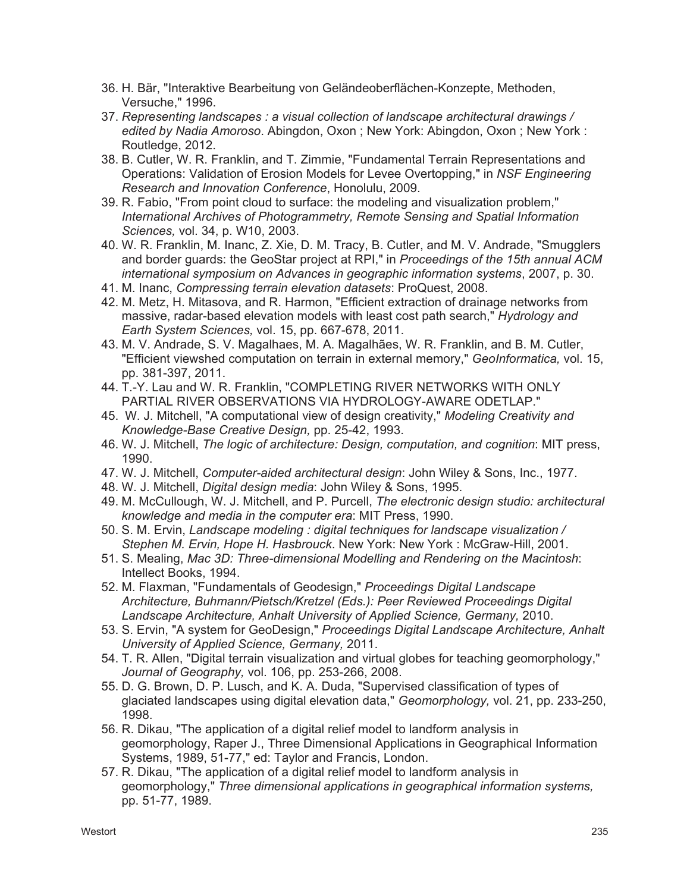- 36. H. Bär, "Interaktive Bearbeitung von Geländeoberflächen-Konzepte, Methoden, Versuche," 1996.
- 37. *Representing landscapes : a visual collection of landscape architectural drawings / edited by Nadia Amoroso*. Abingdon, Oxon ; New York: Abingdon, Oxon ; New York : Routledge, 2012.
- 38. B. Cutler, W. R. Franklin, and T. Zimmie, "Fundamental Terrain Representations and Operations: Validation of Erosion Models for Levee Overtopping," in *NSF Engineering Research and Innovation Conference*, Honolulu, 2009.
- 39. R. Fabio, "From point cloud to surface: the modeling and visualization problem," *International Archives of Photogrammetry, Remote Sensing and Spatial Information Sciences,* vol. 34, p. W10, 2003.
- 40. W. R. Franklin, M. Inanc, Z. Xie, D. M. Tracy, B. Cutler, and M. V. Andrade, "Smugglers and border guards: the GeoStar project at RPI," in *Proceedings of the 15th annual ACM international symposium on Advances in geographic information systems*, 2007, p. 30.
- 41. M. Inanc, *Compressing terrain elevation datasets*: ProQuest, 2008.
- 42. M. Metz, H. Mitasova, and R. Harmon, "Efficient extraction of drainage networks from massive, radar-based elevation models with least cost path search," *Hydrology and Earth System Sciences,* vol. 15, pp. 667-678, 2011.
- 43. M. V. Andrade, S. V. Magalhaes, M. A. Magalhães, W. R. Franklin, and B. M. Cutler, "Efficient viewshed computation on terrain in external memory," *GeoInformatica,* vol. 15, pp. 381-397, 2011.
- 44. T.-Y. Lau and W. R. Franklin, "COMPLETING RIVER NETWORKS WITH ONLY PARTIAL RIVER OBSERVATIONS VIA HYDROLOGY-AWARE ODETLAP."
- 45. W. J. Mitchell, "A computational view of design creativity," *Modeling Creativity and Knowledge-Base Creative Design,* pp. 25-42, 1993.
- 46. W. J. Mitchell, *The logic of architecture: Design, computation, and cognition*: MIT press, 1990.
- 47. W. J. Mitchell, *Computer-aided architectural design*: John Wiley & Sons, Inc., 1977.
- 48. W. J. Mitchell, *Digital design media*: John Wiley & Sons, 1995.
- 49. M. McCullough, W. J. Mitchell, and P. Purcell, *The electronic design studio: architectural knowledge and media in the computer era*: MIT Press, 1990.
- 50. S. M. Ervin, *Landscape modeling : digital techniques for landscape visualization / Stephen M. Ervin, Hope H. Hasbrouck*. New York: New York : McGraw-Hill, 2001.
- 51. S. Mealing, *Mac 3D: Three-dimensional Modelling and Rendering on the Macintosh*: Intellect Books, 1994.
- 52. M. Flaxman, "Fundamentals of Geodesign," *Proceedings Digital Landscape Architecture, Buhmann/Pietsch/Kretzel (Eds.): Peer Reviewed Proceedings Digital Landscape Architecture, Anhalt University of Applied Science, Germany,* 2010.
- 53. S. Ervin, "A system for GeoDesign," *Proceedings Digital Landscape Architecture, Anhalt University of Applied Science, Germany,* 2011.
- 54. T. R. Allen, "Digital terrain visualization and virtual globes for teaching geomorphology," *Journal of Geography,* vol. 106, pp. 253-266, 2008.
- 55. D. G. Brown, D. P. Lusch, and K. A. Duda, "Supervised classification of types of glaciated landscapes using digital elevation data," *Geomorphology,* vol. 21, pp. 233-250, 1998.
- 56. R. Dikau, "The application of a digital relief model to landform analysis in geomorphology, Raper J., Three Dimensional Applications in Geographical Information Systems, 1989, 51-77," ed: Taylor and Francis, London.
- 57. R. Dikau, "The application of a digital relief model to landform analysis in geomorphology," *Three dimensional applications in geographical information systems,*  pp. 51-77, 1989.